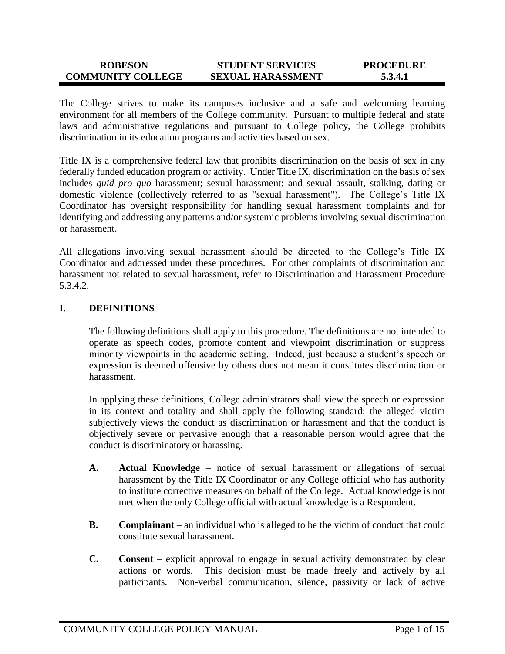#### **ROBESON COMMUNITY COLLEGE STUDENT SERVICES SEXUAL HARASSMENT PROCEDURE 5.3.4.1**

The College strives to make its campuses inclusive and a safe and welcoming learning environment for all members of the College community. Pursuant to multiple federal and state laws and administrative regulations and pursuant to College policy, the College prohibits discrimination in its education programs and activities based on sex.

Title IX is a comprehensive federal law that prohibits discrimination on the basis of sex in any federally funded education program or activity. Under Title IX, discrimination on the basis of sex includes *quid pro quo* harassment; sexual harassment; and sexual assault, stalking, dating or domestic violence (collectively referred to as "sexual harassment"). The College's Title IX Coordinator has oversight responsibility for handling sexual harassment complaints and for identifying and addressing any patterns and/or systemic problems involving sexual discrimination or harassment.

All allegations involving sexual harassment should be directed to the College's Title IX Coordinator and addressed under these procedures. For other complaints of discrimination and harassment not related to sexual harassment, refer to Discrimination and Harassment Procedure 5.3.4.2.

## **I. DEFINITIONS**

The following definitions shall apply to this procedure. The definitions are not intended to operate as speech codes, promote content and viewpoint discrimination or suppress minority viewpoints in the academic setting. Indeed, just because a student's speech or expression is deemed offensive by others does not mean it constitutes discrimination or harassment.

In applying these definitions, College administrators shall view the speech or expression in its context and totality and shall apply the following standard: the alleged victim subjectively views the conduct as discrimination or harassment and that the conduct is objectively severe or pervasive enough that a reasonable person would agree that the conduct is discriminatory or harassing.

- **A. Actual Knowledge** notice of sexual harassment or allegations of sexual harassment by the Title IX Coordinator or any College official who has authority to institute corrective measures on behalf of the College. Actual knowledge is not met when the only College official with actual knowledge is a Respondent.
- **B. Complainant** an individual who is alleged to be the victim of conduct that could constitute sexual harassment.
- **C. Consent** explicit approval to engage in sexual activity demonstrated by clear actions or words. This decision must be made freely and actively by all participants. Non-verbal communication, silence, passivity or lack of active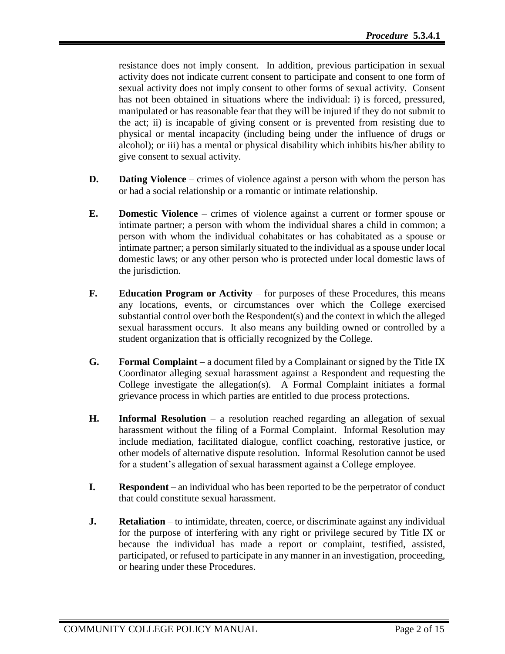resistance does not imply consent. In addition, previous participation in sexual activity does not indicate current consent to participate and consent to one form of sexual activity does not imply consent to other forms of sexual activity. Consent has not been obtained in situations where the individual: i) is forced, pressured, manipulated or has reasonable fear that they will be injured if they do not submit to the act; ii) is incapable of giving consent or is prevented from resisting due to physical or mental incapacity (including being under the influence of drugs or alcohol); or iii) has a mental or physical disability which inhibits his/her ability to give consent to sexual activity.

- **D. Dating Violence** crimes of violence against a person with whom the person has or had a social relationship or a romantic or intimate relationship.
- **E. Domestic Violence** crimes of violence against a current or former spouse or intimate partner; a person with whom the individual shares a child in common; a person with whom the individual cohabitates or has cohabitated as a spouse or intimate partner; a person similarly situated to the individual as a spouse under local domestic laws; or any other person who is protected under local domestic laws of the jurisdiction.
- **F. Education Program or Activity** for purposes of these Procedures, this means any locations, events, or circumstances over which the College exercised substantial control over both the Respondent(s) and the context in which the alleged sexual harassment occurs. It also means any building owned or controlled by a student organization that is officially recognized by the College.
- **G. Formal Complaint** a document filed by a Complainant or signed by the Title IX Coordinator alleging sexual harassment against a Respondent and requesting the College investigate the allegation(s). A Formal Complaint initiates a formal grievance process in which parties are entitled to due process protections.
- **H. Informal Resolution**  a resolution reached regarding an allegation of sexual harassment without the filing of a Formal Complaint. Informal Resolution may include mediation, facilitated dialogue, conflict coaching, restorative justice, or other models of alternative dispute resolution. Informal Resolution cannot be used for a student's allegation of sexual harassment against a College employee.
- **I. Respondent** an individual who has been reported to be the perpetrator of conduct that could constitute sexual harassment.
- **J. Retaliation** to intimidate, threaten, coerce, or discriminate against any individual for the purpose of interfering with any right or privilege secured by Title IX or because the individual has made a report or complaint, testified, assisted, participated, or refused to participate in any manner in an investigation, proceeding, or hearing under these Procedures.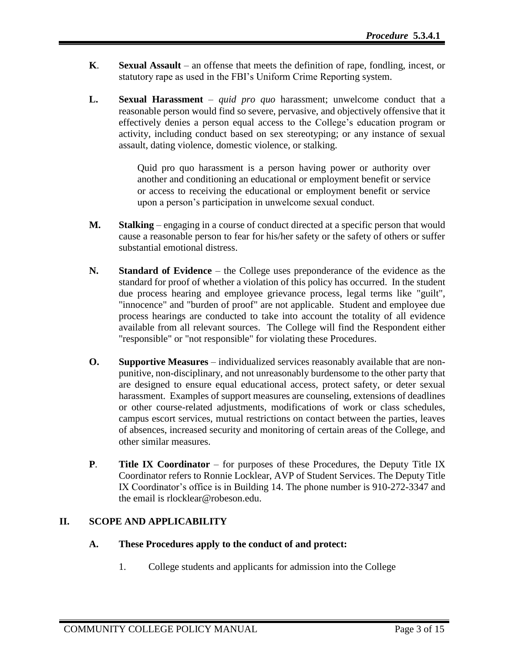- **K**. **Sexual Assault** an offense that meets the definition of rape, fondling, incest, or statutory rape as used in the FBI's Uniform Crime Reporting system.
- **L. Sexual Harassment** *quid pro quo* harassment; unwelcome conduct that a reasonable person would find so severe, pervasive, and objectively offensive that it effectively denies a person equal access to the College's education program or activity, including conduct based on sex stereotyping; or any instance of sexual assault, dating violence, domestic violence, or stalking.

Quid pro quo harassment is a person having power or authority over another and conditioning an educational or employment benefit or service or access to receiving the educational or employment benefit or service upon a person's participation in unwelcome sexual conduct.

- **M. Stalking** engaging in a course of conduct directed at a specific person that would cause a reasonable person to fear for his/her safety or the safety of others or suffer substantial emotional distress.
- **N. Standard of Evidence**  the College uses preponderance of the evidence as the standard for proof of whether a violation of this policy has occurred. In the student due process hearing and employee grievance process, legal terms like "guilt", "innocence" and "burden of proof" are not applicable. Student and employee due process hearings are conducted to take into account the totality of all evidence available from all relevant sources. The College will find the Respondent either "responsible" or "not responsible" for violating these Procedures.
- **O.** Supportive Measures individualized services reasonably available that are nonpunitive, non-disciplinary, and not unreasonably burdensome to the other party that are designed to ensure equal educational access, protect safety, or deter sexual harassment. Examples of support measures are counseling, extensions of deadlines or other course-related adjustments, modifications of work or class schedules, campus escort services, mutual restrictions on contact between the parties, leaves of absences, increased security and monitoring of certain areas of the College, and other similar measures.
- **P**. **Title IX Coordinator** for purposes of these Procedures, the Deputy Title IX Coordinator refers to Ronnie Locklear, AVP of Student Services. The Deputy Title IX Coordinator's office is in Building 14. The phone number is 910-272-3347 and the email is rlocklear@robeson.edu.

# **II. SCOPE AND APPLICABILITY**

### **A. These Procedures apply to the conduct of and protect:**

1. College students and applicants for admission into the College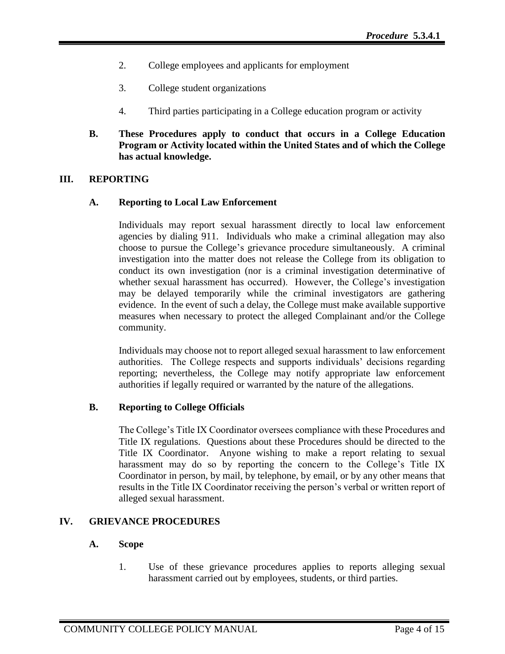- 2. College employees and applicants for employment
- 3. College student organizations
- 4. Third parties participating in a College education program or activity
- **B. These Procedures apply to conduct that occurs in a College Education Program or Activity located within the United States and of which the College has actual knowledge.**

## **III. REPORTING**

## **A. Reporting to Local Law Enforcement**

Individuals may report sexual harassment directly to local law enforcement agencies by dialing 911. Individuals who make a criminal allegation may also choose to pursue the College's grievance procedure simultaneously. A criminal investigation into the matter does not release the College from its obligation to conduct its own investigation (nor is a criminal investigation determinative of whether sexual harassment has occurred). However, the College's investigation may be delayed temporarily while the criminal investigators are gathering evidence. In the event of such a delay, the College must make available supportive measures when necessary to protect the alleged Complainant and/or the College community.

Individuals may choose not to report alleged sexual harassment to law enforcement authorities. The College respects and supports individuals' decisions regarding reporting; nevertheless, the College may notify appropriate law enforcement authorities if legally required or warranted by the nature of the allegations.

# **B. Reporting to College Officials**

The College's Title IX Coordinator oversees compliance with these Procedures and Title IX regulations. Questions about these Procedures should be directed to the Title IX Coordinator. Anyone wishing to make a report relating to sexual harassment may do so by reporting the concern to the College's Title IX Coordinator in person, by mail, by telephone, by email, or by any other means that results in the Title IX Coordinator receiving the person's verbal or written report of alleged sexual harassment.

# **IV. GRIEVANCE PROCEDURES**

# **A. Scope**

1. Use of these grievance procedures applies to reports alleging sexual harassment carried out by employees, students, or third parties.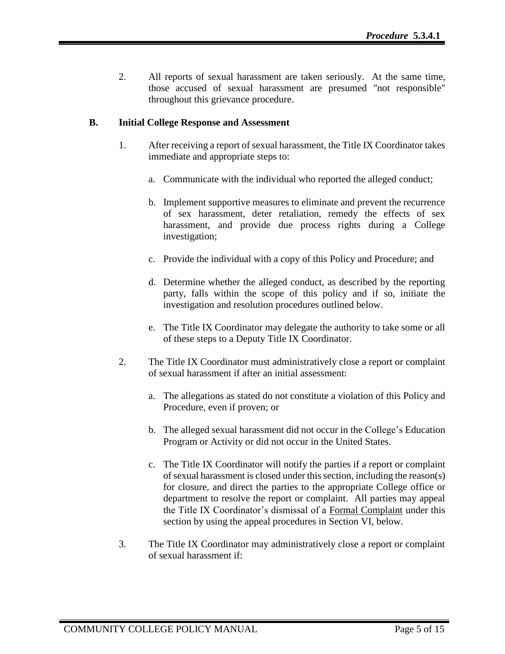2. All reports of sexual harassment are taken seriously. At the same time, those accused of sexual harassment are presumed "not responsible" throughout this grievance procedure.

## **B. Initial College Response and Assessment**

- 1. After receiving a report of sexual harassment, the Title IX Coordinator takes immediate and appropriate steps to:
	- a. Communicate with the individual who reported the alleged conduct;
	- b. Implement supportive measures to eliminate and prevent the recurrence of sex harassment, deter retaliation, remedy the effects of sex harassment, and provide due process rights during a College investigation;
	- c. Provide the individual with a copy of this Policy and Procedure; and
	- d. Determine whether the alleged conduct, as described by the reporting party, falls within the scope of this policy and if so, initiate the investigation and resolution procedures outlined below.
	- e. The Title IX Coordinator may delegate the authority to take some or all of these steps to a Deputy Title IX Coordinator.
- 2. The Title IX Coordinator must administratively close a report or complaint of sexual harassment if after an initial assessment:
	- a. The allegations as stated do not constitute a violation of this Policy and Procedure, even if proven; or
	- b. The alleged sexual harassment did not occur in the College's Education Program or Activity or did not occur in the United States.
	- c. The Title IX Coordinator will notify the parties if a report or complaint of sexual harassment is closed under this section, including the reason(s) for closure, and direct the parties to the appropriate College office or department to resolve the report or complaint. All parties may appeal the Title IX Coordinator's dismissal of a Formal Complaint under this section by using the appeal procedures in Section VI, below.
- 3. The Title IX Coordinator may administratively close a report or complaint of sexual harassment if: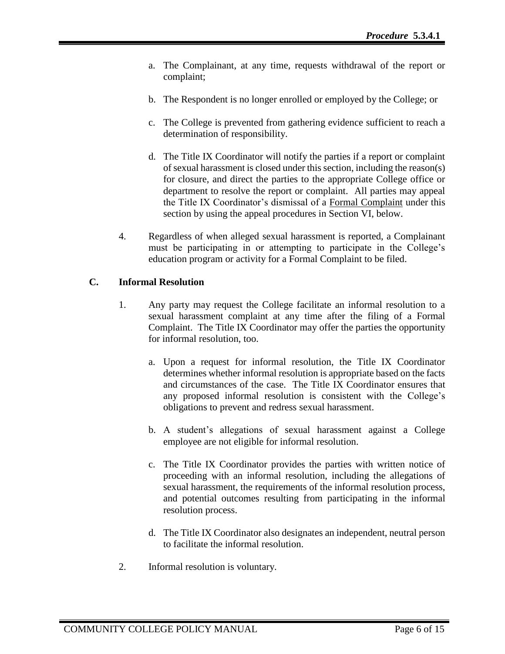- a. The Complainant, at any time, requests withdrawal of the report or complaint;
- b. The Respondent is no longer enrolled or employed by the College; or
- c. The College is prevented from gathering evidence sufficient to reach a determination of responsibility.
- d. The Title IX Coordinator will notify the parties if a report or complaint of sexual harassment is closed under this section, including the reason(s) for closure, and direct the parties to the appropriate College office or department to resolve the report or complaint. All parties may appeal the Title IX Coordinator's dismissal of a Formal Complaint under this section by using the appeal procedures in Section VI, below.
- 4. Regardless of when alleged sexual harassment is reported, a Complainant must be participating in or attempting to participate in the College's education program or activity for a Formal Complaint to be filed.

# **C. Informal Resolution**

- 1. Any party may request the College facilitate an informal resolution to a sexual harassment complaint at any time after the filing of a Formal Complaint. The Title IX Coordinator may offer the parties the opportunity for informal resolution, too.
	- a. Upon a request for informal resolution, the Title IX Coordinator determines whether informal resolution is appropriate based on the facts and circumstances of the case. The Title IX Coordinator ensures that any proposed informal resolution is consistent with the College's obligations to prevent and redress sexual harassment.
	- b. A student's allegations of sexual harassment against a College employee are not eligible for informal resolution.
	- c. The Title IX Coordinator provides the parties with written notice of proceeding with an informal resolution, including the allegations of sexual harassment, the requirements of the informal resolution process, and potential outcomes resulting from participating in the informal resolution process.
	- d. The Title IX Coordinator also designates an independent, neutral person to facilitate the informal resolution.
- 2. Informal resolution is voluntary.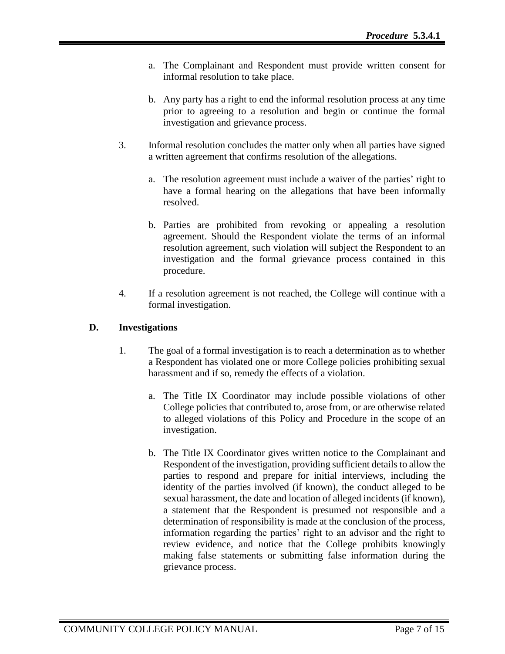- a. The Complainant and Respondent must provide written consent for informal resolution to take place.
- b. Any party has a right to end the informal resolution process at any time prior to agreeing to a resolution and begin or continue the formal investigation and grievance process.
- 3. Informal resolution concludes the matter only when all parties have signed a written agreement that confirms resolution of the allegations.
	- a. The resolution agreement must include a waiver of the parties' right to have a formal hearing on the allegations that have been informally resolved.
	- b. Parties are prohibited from revoking or appealing a resolution agreement. Should the Respondent violate the terms of an informal resolution agreement, such violation will subject the Respondent to an investigation and the formal grievance process contained in this procedure.
- 4. If a resolution agreement is not reached, the College will continue with a formal investigation.

# **D. Investigations**

- 1. The goal of a formal investigation is to reach a determination as to whether a Respondent has violated one or more College policies prohibiting sexual harassment and if so, remedy the effects of a violation.
	- a. The Title IX Coordinator may include possible violations of other College policies that contributed to, arose from, or are otherwise related to alleged violations of this Policy and Procedure in the scope of an investigation.
	- b. The Title IX Coordinator gives written notice to the Complainant and Respondent of the investigation, providing sufficient details to allow the parties to respond and prepare for initial interviews, including the identity of the parties involved (if known), the conduct alleged to be sexual harassment, the date and location of alleged incidents (if known), a statement that the Respondent is presumed not responsible and a determination of responsibility is made at the conclusion of the process, information regarding the parties' right to an advisor and the right to review evidence, and notice that the College prohibits knowingly making false statements or submitting false information during the grievance process.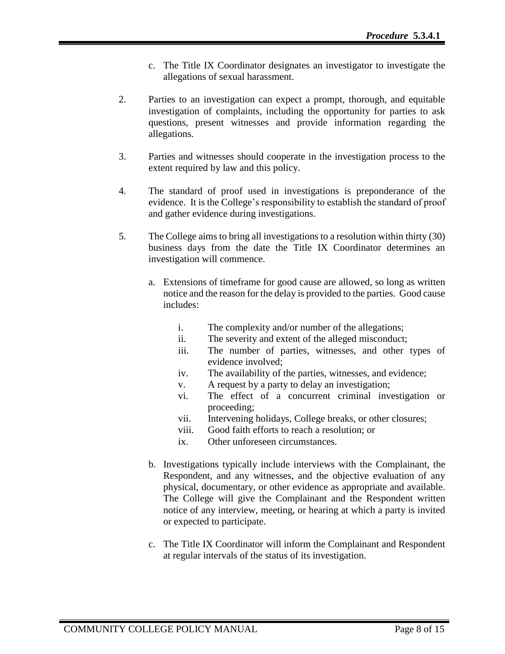- c. The Title IX Coordinator designates an investigator to investigate the allegations of sexual harassment.
- 2. Parties to an investigation can expect a prompt, thorough, and equitable investigation of complaints, including the opportunity for parties to ask questions, present witnesses and provide information regarding the allegations.
- 3. Parties and witnesses should cooperate in the investigation process to the extent required by law and this policy.
- 4. The standard of proof used in investigations is preponderance of the evidence. It is the College's responsibility to establish the standard of proof and gather evidence during investigations.
- 5. The College aims to bring all investigations to a resolution within thirty (30) business days from the date the Title IX Coordinator determines an investigation will commence.
	- a. Extensions of timeframe for good cause are allowed, so long as written notice and the reason for the delay is provided to the parties. Good cause includes:
		- i. The complexity and/or number of the allegations;
		- ii. The severity and extent of the alleged misconduct;
		- iii. The number of parties, witnesses, and other types of evidence involved;
		- iv. The availability of the parties, witnesses, and evidence;
		- v. A request by a party to delay an investigation;
		- vi. The effect of a concurrent criminal investigation or proceeding;
		- vii. Intervening holidays, College breaks, or other closures;
		- viii. Good faith efforts to reach a resolution; or
		- ix. Other unforeseen circumstances.
	- b. Investigations typically include interviews with the Complainant, the Respondent, and any witnesses, and the objective evaluation of any physical, documentary, or other evidence as appropriate and available. The College will give the Complainant and the Respondent written notice of any interview, meeting, or hearing at which a party is invited or expected to participate.
	- c. The Title IX Coordinator will inform the Complainant and Respondent at regular intervals of the status of its investigation.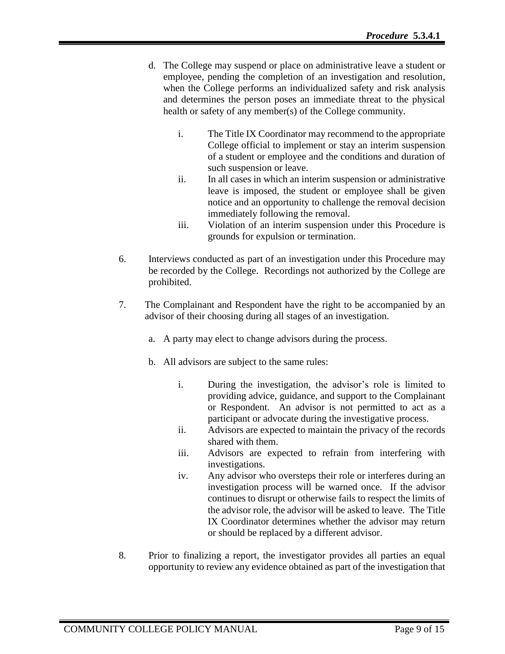- d. The College may suspend or place on administrative leave a student or employee, pending the completion of an investigation and resolution, when the College performs an individualized safety and risk analysis and determines the person poses an immediate threat to the physical health or safety of any member(s) of the College community.
	- i. The Title IX Coordinator may recommend to the appropriate College official to implement or stay an interim suspension of a student or employee and the conditions and duration of such suspension or leave.
	- ii. In all cases in which an interim suspension or administrative leave is imposed, the student or employee shall be given notice and an opportunity to challenge the removal decision immediately following the removal.
	- iii. Violation of an interim suspension under this Procedure is grounds for expulsion or termination.
- 6. Interviews conducted as part of an investigation under this Procedure may be recorded by the College. Recordings not authorized by the College are prohibited.
- 7. The Complainant and Respondent have the right to be accompanied by an advisor of their choosing during all stages of an investigation.
	- a. A party may elect to change advisors during the process.
	- b. All advisors are subject to the same rules:
		- i. During the investigation, the advisor's role is limited to providing advice, guidance, and support to the Complainant or Respondent. An advisor is not permitted to act as a participant or advocate during the investigative process.
		- ii. Advisors are expected to maintain the privacy of the records shared with them.
		- iii. Advisors are expected to refrain from interfering with investigations.
		- iv. Any advisor who oversteps their role or interferes during an investigation process will be warned once. If the advisor continues to disrupt or otherwise fails to respect the limits of the advisor role, the advisor will be asked to leave. The Title IX Coordinator determines whether the advisor may return or should be replaced by a different advisor.
- 8. Prior to finalizing a report, the investigator provides all parties an equal opportunity to review any evidence obtained as part of the investigation that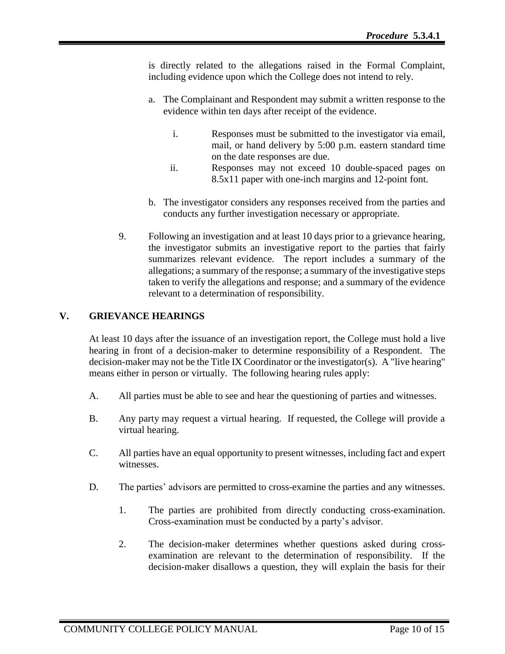is directly related to the allegations raised in the Formal Complaint, including evidence upon which the College does not intend to rely.

- a. The Complainant and Respondent may submit a written response to the evidence within ten days after receipt of the evidence.
	- i. Responses must be submitted to the investigator via email, mail, or hand delivery by 5:00 p.m. eastern standard time on the date responses are due.
	- ii. Responses may not exceed 10 double-spaced pages on 8.5x11 paper with one-inch margins and 12-point font.
- b. The investigator considers any responses received from the parties and conducts any further investigation necessary or appropriate.
- 9. Following an investigation and at least 10 days prior to a grievance hearing, the investigator submits an investigative report to the parties that fairly summarizes relevant evidence. The report includes a summary of the allegations; a summary of the response; a summary of the investigative steps taken to verify the allegations and response; and a summary of the evidence relevant to a determination of responsibility.

# **V. GRIEVANCE HEARINGS**

At least 10 days after the issuance of an investigation report, the College must hold a live hearing in front of a decision-maker to determine responsibility of a Respondent. The decision-maker may not be the Title IX Coordinator or the investigator(s). A "live hearing" means either in person or virtually. The following hearing rules apply:

- A. All parties must be able to see and hear the questioning of parties and witnesses.
- B. Any party may request a virtual hearing. If requested, the College will provide a virtual hearing.
- C. All parties have an equal opportunity to present witnesses, including fact and expert witnesses.
- D. The parties' advisors are permitted to cross-examine the parties and any witnesses.
	- 1. The parties are prohibited from directly conducting cross-examination. Cross-examination must be conducted by a party's advisor.
	- 2. The decision-maker determines whether questions asked during crossexamination are relevant to the determination of responsibility. If the decision-maker disallows a question, they will explain the basis for their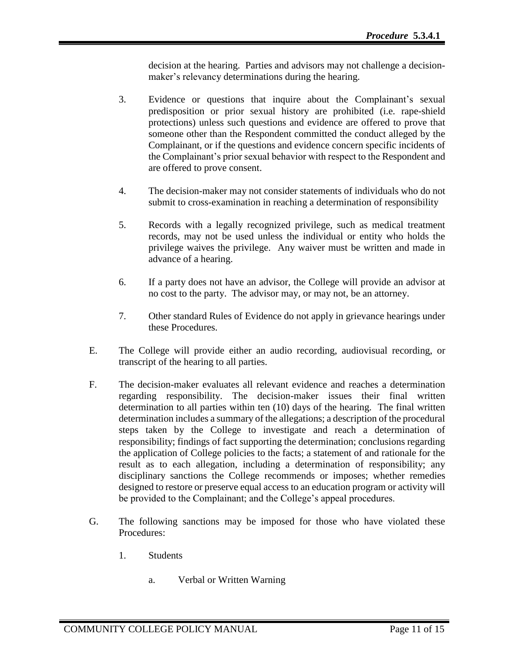decision at the hearing. Parties and advisors may not challenge a decisionmaker's relevancy determinations during the hearing.

- 3. Evidence or questions that inquire about the Complainant's sexual predisposition or prior sexual history are prohibited (i.e. rape-shield protections) unless such questions and evidence are offered to prove that someone other than the Respondent committed the conduct alleged by the Complainant, or if the questions and evidence concern specific incidents of the Complainant's prior sexual behavior with respect to the Respondent and are offered to prove consent.
- 4. The decision-maker may not consider statements of individuals who do not submit to cross-examination in reaching a determination of responsibility
- 5. Records with a legally recognized privilege, such as medical treatment records, may not be used unless the individual or entity who holds the privilege waives the privilege. Any waiver must be written and made in advance of a hearing.
- 6. If a party does not have an advisor, the College will provide an advisor at no cost to the party. The advisor may, or may not, be an attorney.
- 7. Other standard Rules of Evidence do not apply in grievance hearings under these Procedures.
- E. The College will provide either an audio recording, audiovisual recording, or transcript of the hearing to all parties.
- F. The decision-maker evaluates all relevant evidence and reaches a determination regarding responsibility. The decision-maker issues their final written determination to all parties within ten (10) days of the hearing. The final written determination includes a summary of the allegations; a description of the procedural steps taken by the College to investigate and reach a determination of responsibility; findings of fact supporting the determination; conclusions regarding the application of College policies to the facts; a statement of and rationale for the result as to each allegation, including a determination of responsibility; any disciplinary sanctions the College recommends or imposes; whether remedies designed to restore or preserve equal access to an education program or activity will be provided to the Complainant; and the College's appeal procedures.
- G. The following sanctions may be imposed for those who have violated these Procedures:
	- 1. Students
		- a. Verbal or Written Warning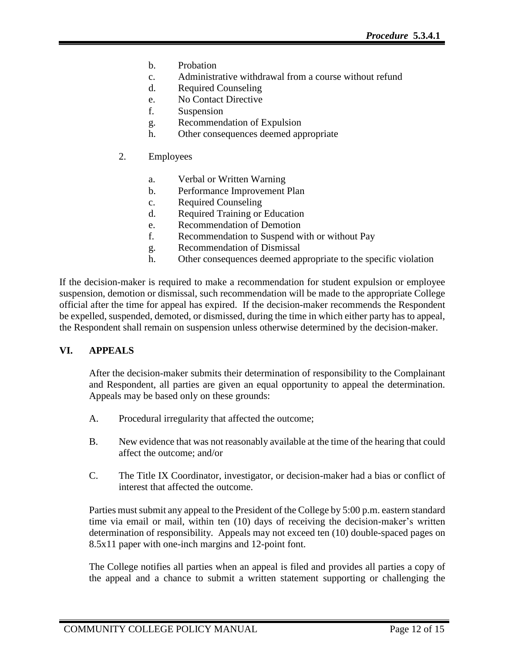- b. Probation
- c. Administrative withdrawal from a course without refund
- d. Required Counseling
- e. No Contact Directive
- f. Suspension
- g. Recommendation of Expulsion
- h. Other consequences deemed appropriate
- 2. Employees
	- a. Verbal or Written Warning
	- b. Performance Improvement Plan
	- c. Required Counseling
	- d. Required Training or Education
	- e. Recommendation of Demotion
	- f. Recommendation to Suspend with or without Pay
	- g. Recommendation of Dismissal
	- h. Other consequences deemed appropriate to the specific violation

If the decision-maker is required to make a recommendation for student expulsion or employee suspension, demotion or dismissal, such recommendation will be made to the appropriate College official after the time for appeal has expired. If the decision-maker recommends the Respondent be expelled, suspended, demoted, or dismissed, during the time in which either party has to appeal, the Respondent shall remain on suspension unless otherwise determined by the decision-maker.

# **VI. APPEALS**

After the decision-maker submits their determination of responsibility to the Complainant and Respondent, all parties are given an equal opportunity to appeal the determination. Appeals may be based only on these grounds:

- A. Procedural irregularity that affected the outcome;
- B. New evidence that was not reasonably available at the time of the hearing that could affect the outcome; and/or
- C. The Title IX Coordinator, investigator, or decision-maker had a bias or conflict of interest that affected the outcome.

Parties must submit any appeal to the President of the College by 5:00 p.m. eastern standard time via email or mail, within ten (10) days of receiving the decision-maker's written determination of responsibility. Appeals may not exceed ten (10) double-spaced pages on 8.5x11 paper with one-inch margins and 12-point font.

The College notifies all parties when an appeal is filed and provides all parties a copy of the appeal and a chance to submit a written statement supporting or challenging the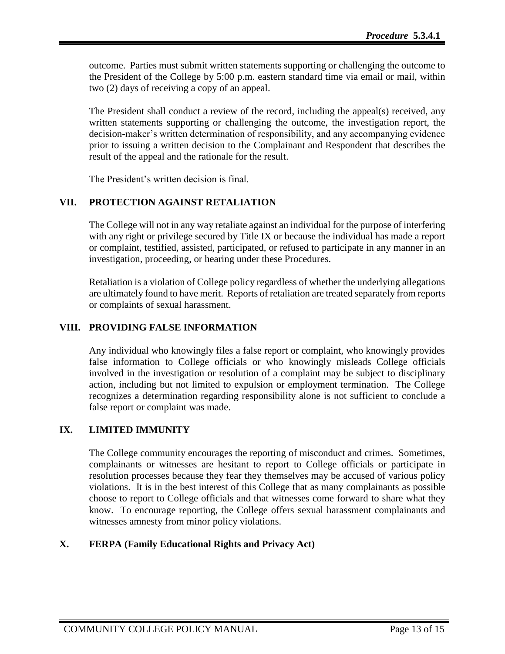outcome. Parties must submit written statements supporting or challenging the outcome to the President of the College by 5:00 p.m. eastern standard time via email or mail, within two (2) days of receiving a copy of an appeal.

The President shall conduct a review of the record, including the appeal(s) received, any written statements supporting or challenging the outcome, the investigation report, the decision-maker's written determination of responsibility, and any accompanying evidence prior to issuing a written decision to the Complainant and Respondent that describes the result of the appeal and the rationale for the result.

The President's written decision is final.

## **VII. PROTECTION AGAINST RETALIATION**

The College will not in any way retaliate against an individual for the purpose of interfering with any right or privilege secured by Title IX or because the individual has made a report or complaint, testified, assisted, participated, or refused to participate in any manner in an investigation, proceeding, or hearing under these Procedures.

Retaliation is a violation of College policy regardless of whether the underlying allegations are ultimately found to have merit. Reports of retaliation are treated separately from reports or complaints of sexual harassment.

### **VIII. PROVIDING FALSE INFORMATION**

Any individual who knowingly files a false report or complaint, who knowingly provides false information to College officials or who knowingly misleads College officials involved in the investigation or resolution of a complaint may be subject to disciplinary action, including but not limited to expulsion or employment termination. The College recognizes a determination regarding responsibility alone is not sufficient to conclude a false report or complaint was made.

### **IX. LIMITED IMMUNITY**

The College community encourages the reporting of misconduct and crimes. Sometimes, complainants or witnesses are hesitant to report to College officials or participate in resolution processes because they fear they themselves may be accused of various policy violations. It is in the best interest of this College that as many complainants as possible choose to report to College officials and that witnesses come forward to share what they know. To encourage reporting, the College offers sexual harassment complainants and witnesses amnesty from minor policy violations.

# **X. FERPA (Family Educational Rights and Privacy Act)**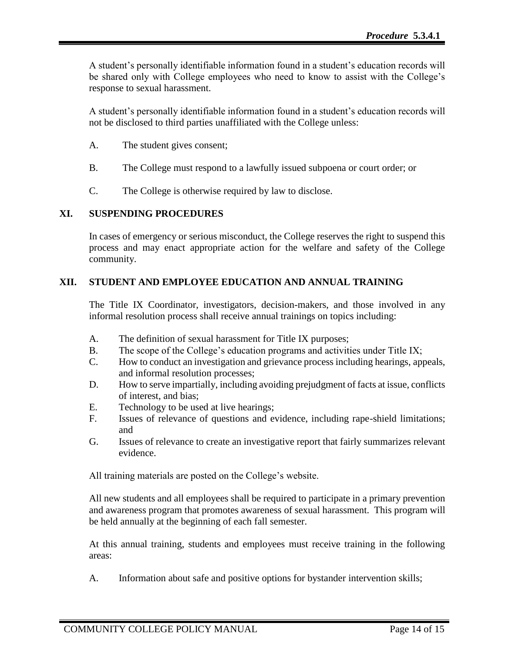A student's personally identifiable information found in a student's education records will be shared only with College employees who need to know to assist with the College's response to sexual harassment.

A student's personally identifiable information found in a student's education records will not be disclosed to third parties unaffiliated with the College unless:

- A. The student gives consent;
- B. The College must respond to a lawfully issued subpoena or court order; or
- C. The College is otherwise required by law to disclose.

# **XI. SUSPENDING PROCEDURES**

In cases of emergency or serious misconduct, the College reserves the right to suspend this process and may enact appropriate action for the welfare and safety of the College community.

# **XII. STUDENT AND EMPLOYEE EDUCATION AND ANNUAL TRAINING**

The Title IX Coordinator, investigators, decision-makers, and those involved in any informal resolution process shall receive annual trainings on topics including:

- A. The definition of sexual harassment for Title IX purposes;
- B. The scope of the College's education programs and activities under Title IX;
- C. How to conduct an investigation and grievance process including hearings, appeals, and informal resolution processes;
- D. How to serve impartially, including avoiding prejudgment of facts at issue, conflicts of interest, and bias;
- E. Technology to be used at live hearings;
- F. Issues of relevance of questions and evidence, including rape-shield limitations; and
- G. Issues of relevance to create an investigative report that fairly summarizes relevant evidence.

All training materials are posted on the College's website.

All new students and all employees shall be required to participate in a primary prevention and awareness program that promotes awareness of sexual harassment. This program will be held annually at the beginning of each fall semester.

At this annual training, students and employees must receive training in the following areas:

A. Information about safe and positive options for bystander intervention skills;